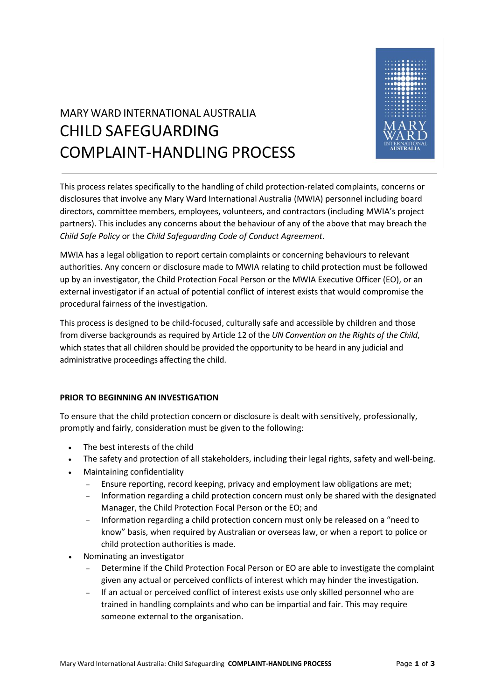

# MARY WARD INTERNATIONAL AUSTRALIA CHILD SAFEGUARDING COMPLAINT-HANDLING PROCESS

This process relates specifically to the handling of child protection-related complaints, concerns or disclosures that involve any Mary Ward International Australia (MWIA) personnel including board directors, committee members, employees, volunteers, and contractors (including MWIA's project partners). This includes any concerns about the behaviour of any of the above that may breach the *Child Safe Policy* or the *Child Safeguarding Code of Conduct Agreement*.

MWIA has a legal obligation to report certain complaints or concerning behaviours to relevant authorities. Any concern or disclosure made to MWIA relating to child protection must be followed up by an investigator, the Child Protection Focal Person or the MWIA Executive Officer (EO), or an external investigator if an actual of potential conflict of interest exists that would compromise the procedural fairness of the investigation.

This process is designed to be child-focused, culturally safe and accessible by children and those from diverse backgrounds as required by Article 12 of the *UN Convention on the Rights of the Child*, which states that all children should be provided the opportunity to be heard in any judicial and administrative proceedings affecting the child.

## **PRIOR TO BEGINNING AN INVESTIGATION**

To ensure that the child protection concern or disclosure is dealt with sensitively, professionally, promptly and fairly, consideration must be given to the following:

- The best interests of the child
- The safety and protection of all stakeholders, including their legal rights, safety and well-being.
- Maintaining confidentiality
	- Ensure reporting, record keeping, privacy and employment law obligations are met;
	- Information regarding a child protection concern must only be shared with the designated Manager, the Child Protection Focal Person or the EO; and
	- Information regarding a child protection concern must only be released on a "need to know" basis, when required by Australian or overseas law, or when a report to police or child protection authorities is made.
- Nominating an investigator
	- Determine if the Child Protection Focal Person or EO are able to investigate the complaint given any actual or perceived conflicts of interest which may hinder the investigation.
	- If an actual or perceived conflict of interest exists use only skilled personnel who are trained in handling complaints and who can be impartial and fair. This may require someone external to the organisation.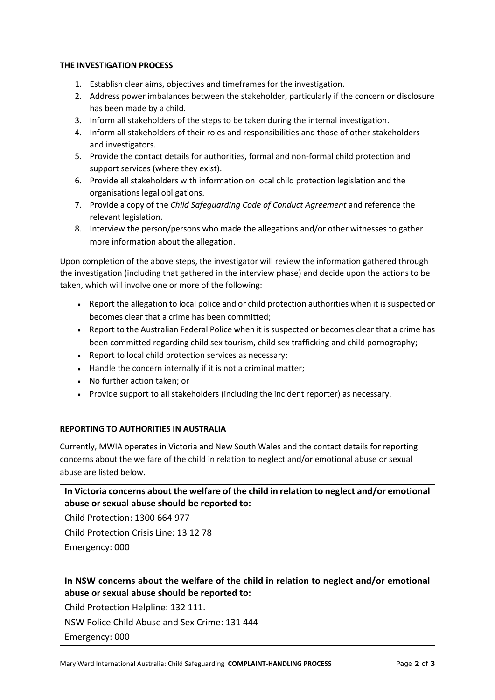#### **THE INVESTIGATION PROCESS**

- 1. Establish clear aims, objectives and timeframes for the investigation.
- 2. Address power imbalances between the stakeholder, particularly if the concern or disclosure has been made by a child.
- 3. Inform all stakeholders of the steps to be taken during the internal investigation.
- 4. Inform all stakeholders of their roles and responsibilities and those of other stakeholders and investigators.
- 5. Provide the contact details for authorities, formal and non-formal child protection and support services (where they exist).
- 6. Provide all stakeholders with information on local child protection legislation and the organisations legal obligations.
- 7. Provide a copy of the *Child Safeguarding Code of Conduct Agreement* and reference the relevant legislation*.*
- 8. Interview the person/persons who made the allegations and/or other witnesses to gather more information about the allegation.

Upon completion of the above steps, the investigator will review the information gathered through the investigation (including that gathered in the interview phase) and decide upon the actions to be taken, which will involve one or more of the following:

- Report the allegation to local police and or child protection authorities when it is suspected or becomes clear that a crime has been committed;
- Report to the Australian Federal Police when it is suspected or becomes clear that a crime has been committed regarding child sex tourism, child sex trafficking and child pornography;
- Report to local child protection services as necessary;
- Handle the concern internally if it is not a criminal matter;
- No further action taken; or
- Provide support to all stakeholders (including the incident reporter) as necessary.

## **REPORTING TO AUTHORITIES IN AUSTRALIA**

Currently, MWIA operates in Victoria and New South Wales and the contact details for reporting concerns about the welfare of the child in relation to neglect and/or emotional abuse or sexual abuse are listed below.

**In Victoria concerns about the welfare of the child in relation to neglect and/or emotional abuse or sexual abuse should be reported to:**

Child Protection: 1300 664 977

Child Protection Crisis Line: 13 12 78

Emergency: 000

# **In NSW concerns about the welfare of the child in relation to neglect and/or emotional abuse or sexual abuse should be reported to:**

Child Protection Helpline: 132 111.

NSW Police Child Abuse and Sex Crime: 131 444

Emergency: 000